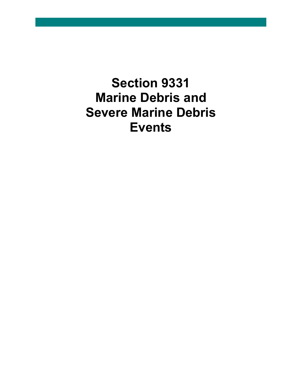**Section 9331 Marine Debris and Severe Marine Debris Events**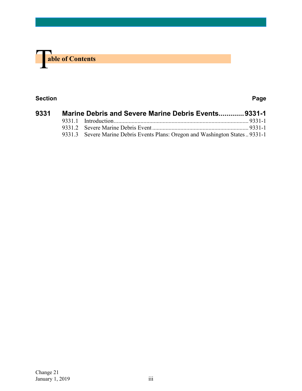

### **Section Page**

| 9331 | Marine Debris and Severe Marine Debris Events9331-1 |                                                                               |
|------|-----------------------------------------------------|-------------------------------------------------------------------------------|
|      |                                                     |                                                                               |
|      |                                                     |                                                                               |
|      |                                                     | 9331.3 Severe Marine Debris Events Plans: Oregon and Washington States 9331-1 |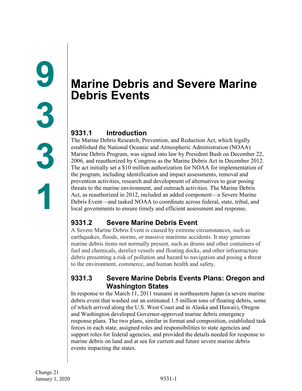# <span id="page-2-1"></span><span id="page-2-0"></span>**Marine Debris and Severe Marine Debris Events**

# <span id="page-2-2"></span>**9331.1 Introduction**

The Marine Debris Research, Prevention, and Reduction Act, which legally established the National Oceanic and Atmospheric Administration (NOAA) Marine Debris Program, was signed into law by President Bush on December 22, 2006, and reauthorized by Congress as the Marine Debris Act in December 2012. The act initially set a \$10 million authorization for NOAA for implementation of the program, including identification and impact assessments, removal and prevention activities, research and development of alternatives to gear posing threats to the marine environment, and outreach activities. The Marine Debris Act, as reauthorized in 2012, included an added component—a Severe Marine Debris Event—and tasked NOAA to coordinate across federal, state, tribal, and local governments to ensure timely and efficient assessment and response.

# <span id="page-2-3"></span>**9331.2 Severe Marine Debris Event**

A Severe Marine Debris Event is caused by extreme circumstances, such as earthquakes, floods, storms, or massive maritime accidents. It may generate marine debris items not normally present, such as drums and other containers of fuel and chemicals, derelict vessels and floating docks, and other infrastructure debris presenting a risk of pollution and hazard to navigation and posing a threat to the environment, commerce, and human health and safety.

## <span id="page-2-4"></span>**9331.3 Severe Marine Debris Events Plans: Oregon and Washington States**

In response to the March 11, 2011 tsunami in northeastern Japan (a severe marine debris event that washed out an estimated 1.5 million tons of floating debris, some of which arrived along the U.S. West Coast and in Alaska and Hawaii), Oregon and Washington developed Governor-approved marine debris emergency response plans. The two plans, similar in format and composition, established task forces in each state, assigned roles and responsibilities to state agencies and support roles for federal agencies, and provided the details needed for response to marine debris on land and at sea for current and future severe marine debris events impacting the states.